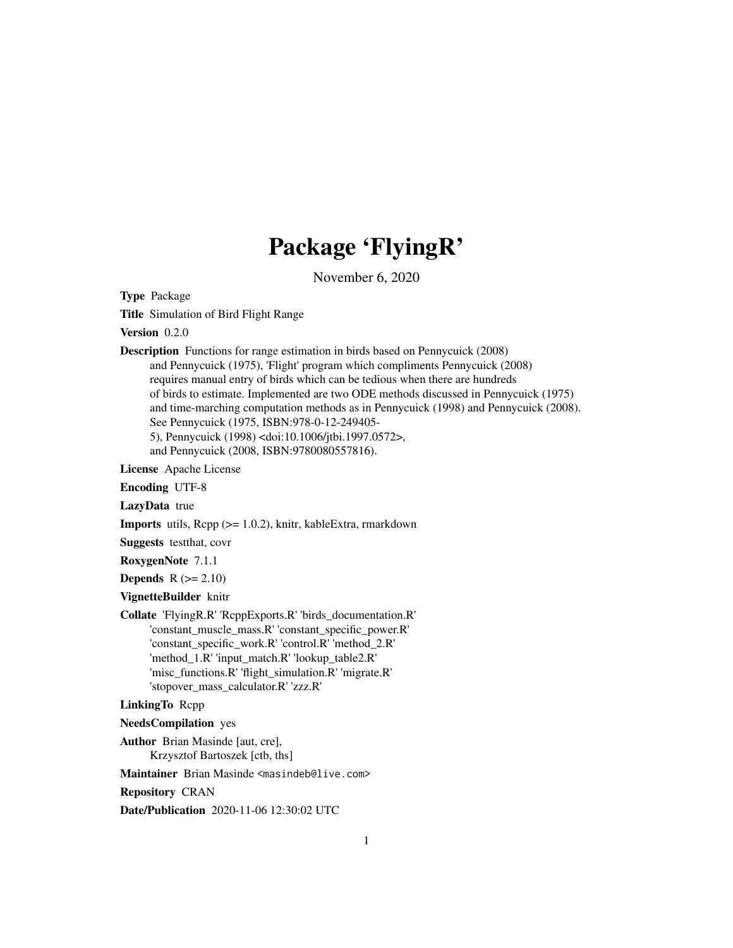# Package 'FlyingR'

November 6, 2020

Type Package

Title Simulation of Bird Flight Range

Version 0.2.0

Description Functions for range estimation in birds based on Pennycuick (2008) and Pennycuick (1975), 'Flight' program which compliments Pennycuick (2008) requires manual entry of birds which can be tedious when there are hundreds of birds to estimate. Implemented are two ODE methods discussed in Pennycuick (1975) and time-marching computation methods as in Pennycuick (1998) and Pennycuick (2008). See Pennycuick (1975, ISBN:978-0-12-249405- 5), Pennycuick (1998) <doi:10.1006/jtbi.1997.0572>,

and Pennycuick (2008, ISBN:9780080557816).

License Apache License

Encoding UTF-8

LazyData true

Imports utils, Rcpp (>= 1.0.2), knitr, kableExtra, rmarkdown

Suggests testthat, covr

RoxygenNote 7.1.1

Depends  $R (= 2.10)$ 

VignetteBuilder knitr

Collate 'FlyingR.R' 'RcppExports.R' 'birds\_documentation.R' 'constant\_muscle\_mass.R' 'constant\_specific\_power.R' 'constant\_specific\_work.R' 'control.R' 'method\_2.R' 'method\_1.R' 'input\_match.R' 'lookup\_table2.R' 'misc\_functions.R' 'flight\_simulation.R' 'migrate.R' 'stopover\_mass\_calculator.R' 'zzz.R'

# LinkingTo Rcpp

NeedsCompilation yes

Author Brian Masinde [aut, cre],

Krzysztof Bartoszek [ctb, ths]

Maintainer Brian Masinde <masindeb@live.com>

Repository CRAN

Date/Publication 2020-11-06 12:30:02 UTC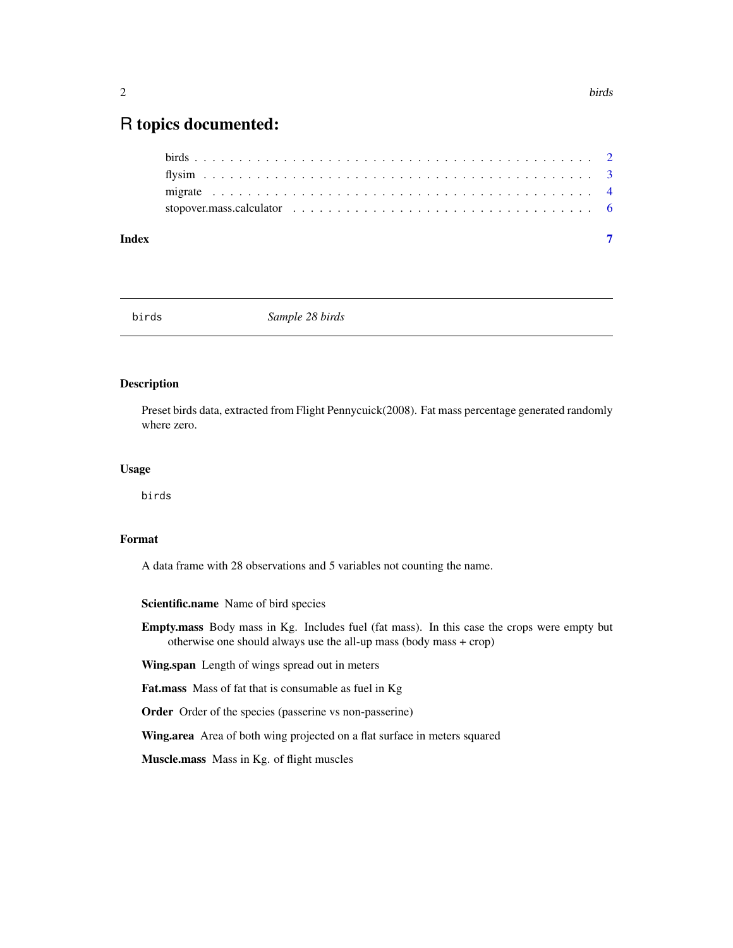# <span id="page-1-0"></span>R topics documented:

#### **Index** [7](#page-6-0)

birds *Sample 28 birds*

## Description

Preset birds data, extracted from Flight Pennycuick(2008). Fat mass percentage generated randomly where zero.

#### Usage

birds

# Format

A data frame with 28 observations and 5 variables not counting the name.

Scientific.name Name of bird species

Empty.mass Body mass in Kg. Includes fuel (fat mass). In this case the crops were empty but otherwise one should always use the all-up mass (body mass + crop)

Wing.span Length of wings spread out in meters

Fat.mass Mass of fat that is consumable as fuel in Kg

Order Order of the species (passerine vs non-passerine)

Wing.area Area of both wing projected on a flat surface in meters squared

Muscle.mass Mass in Kg. of flight muscles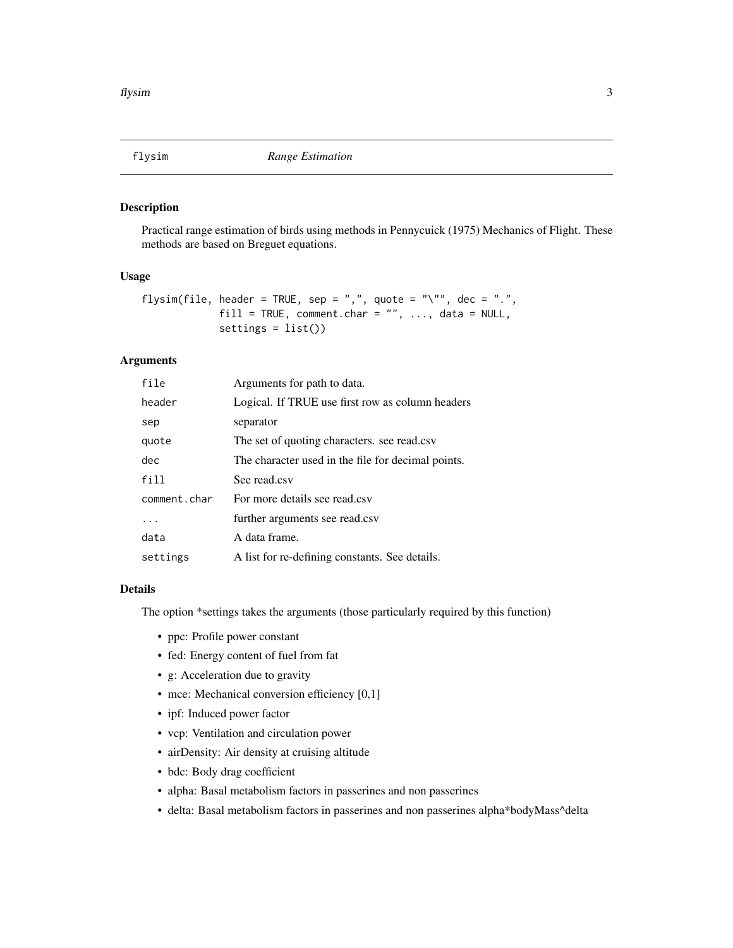<span id="page-2-0"></span>

#### Description

Practical range estimation of birds using methods in Pennycuick (1975) Mechanics of Flight. These methods are based on Breguet equations.

#### Usage

```
flysim(file, header = TRUE, sep = ",", quote = "\"", dec = ".",
             fill = TRUE, comment.char = "", ..., data = NULL,
             settings = list())
```
#### Arguments

| file         | Arguments for path to data.                        |
|--------------|----------------------------------------------------|
| header       | Logical. If TRUE use first row as column headers   |
| sep          | separator                                          |
| quote        | The set of quoting characters. see read.csv        |
| dec          | The character used in the file for decimal points. |
| fill         | See read.csv                                       |
| comment.char | For more details see read.csv                      |
| .            | further arguments see read.csv                     |
| data         | A data frame.                                      |
| settings     | A list for re-defining constants. See details.     |

#### Details

The option \*settings takes the arguments (those particularly required by this function)

- ppc: Profile power constant
- fed: Energy content of fuel from fat
- g: Acceleration due to gravity
- mce: Mechanical conversion efficiency [0,1]
- ipf: Induced power factor
- vcp: Ventilation and circulation power
- airDensity: Air density at cruising altitude
- bdc: Body drag coefficient
- alpha: Basal metabolism factors in passerines and non passerines
- delta: Basal metabolism factors in passerines and non passerines alpha\*bodyMass^delta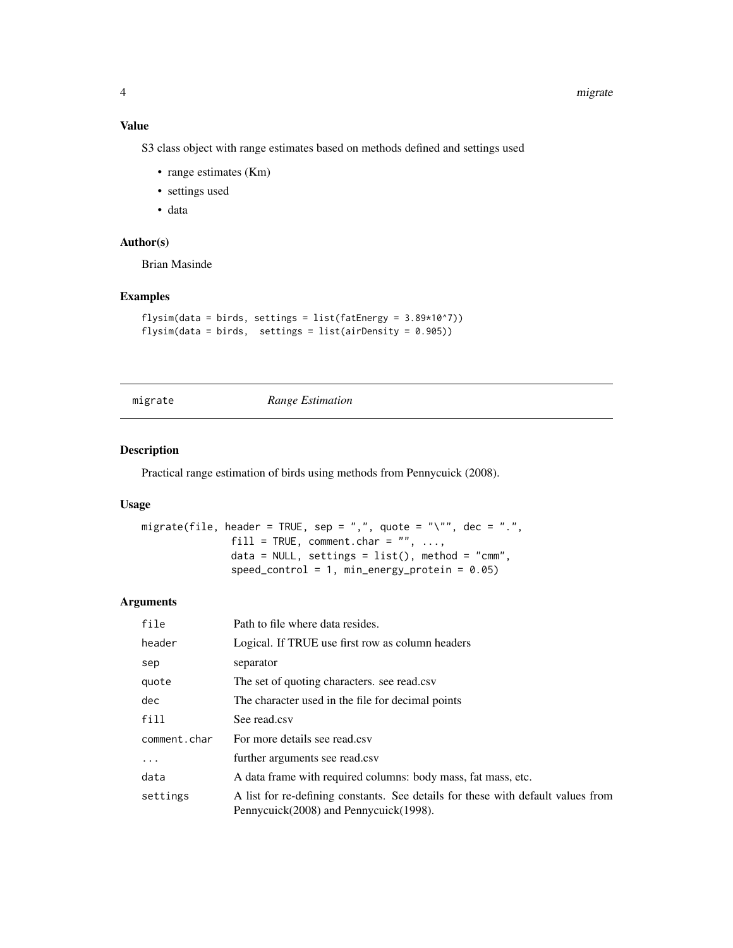#### <span id="page-3-0"></span>Value

S3 class object with range estimates based on methods defined and settings used

- range estimates (Km)
- settings used
- data

#### Author(s)

Brian Masinde

#### Examples

```
flysim(data = birds, settings = list(fatEnergy = 3.89*10^{\circ}7))
flysim(data = birds, settings = list(airDensity = 0.905))
```
migrate *Range Estimation*

#### Description

Practical range estimation of birds using methods from Pennycuick (2008).

#### Usage

```
migrate(file, header = TRUE, sep = ",", quote = "\"", dec = ".",
               fill = TRUE, comment.char = ", ...,
               data = NULL, settings = list(), method = "cmm",
               speed_control = 1, min_energy_protein = 0.05)
```
#### Arguments

| file         | Path to file where data resides.                                                                                           |
|--------------|----------------------------------------------------------------------------------------------------------------------------|
| header       | Logical. If TRUE use first row as column headers                                                                           |
| sep          | separator                                                                                                                  |
| quote        | The set of quoting characters. see read.csv                                                                                |
| dec          | The character used in the file for decimal points                                                                          |
| fill         | See read.csv                                                                                                               |
| comment.char | For more details see read.csv                                                                                              |
| .            | further arguments see read.csv                                                                                             |
| data         | A data frame with required columns: body mass, fat mass, etc.                                                              |
| settings     | A list for re-defining constants. See details for these with default values from<br>Pennycuick(2008) and Pennycuick(1998). |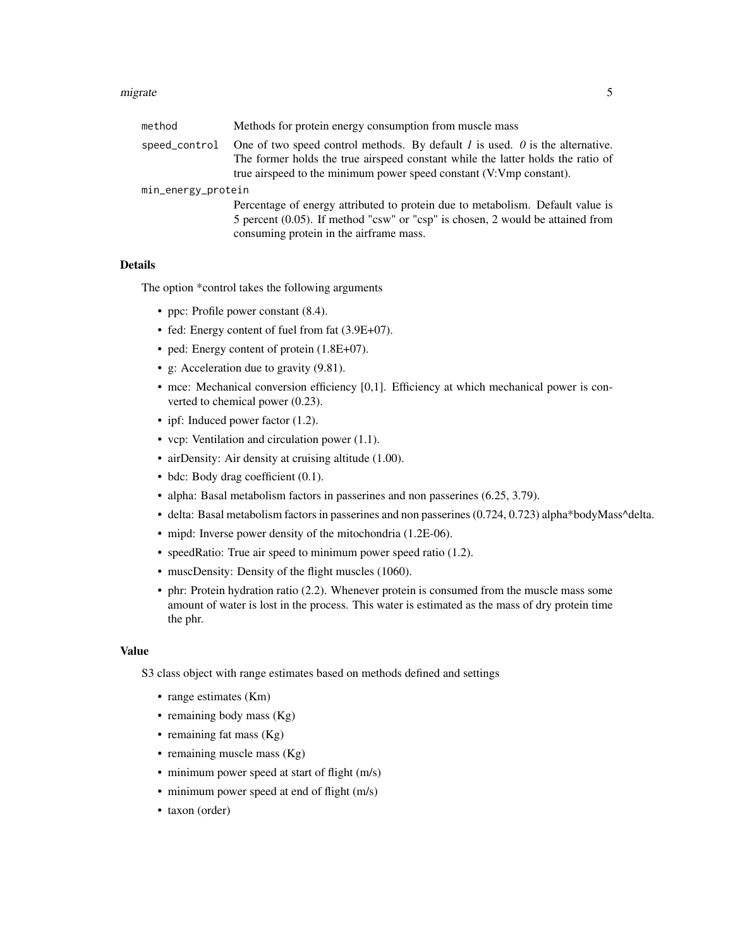#### migrate 5 and 5 and 5 and 5 and 5 and 5 and 5 and 5 and 5 and 5 and 5 and 5 and 5 and 5 and 5 and 5 and 5 and 5 and 5 and 5 and 5 and 5 and 5 and 5 and 5 and 5 and 5 and 5 and 5 and 5 and 5 and 5 and 5 and 5 and 5 and 5 an

| method             | Methods for protein energy consumption from muscle mass                                                                                                                                                                                          |  |  |  |
|--------------------|--------------------------------------------------------------------------------------------------------------------------------------------------------------------------------------------------------------------------------------------------|--|--|--|
| speed_control      | One of two speed control methods. By default $I$ is used. $\theta$ is the alternative.<br>The former holds the true airspeed constant while the latter holds the ratio of<br>true airspeed to the minimum power speed constant (V:Vmp constant). |  |  |  |
| min_energy_protein |                                                                                                                                                                                                                                                  |  |  |  |
|                    | Percentage of energy attributed to protein due to metabolism. Default value is<br>5 percent (0.05). If method "csw" or "csp" is chosen, 2 would be attained from<br>consuming protein in the airframe mass.                                      |  |  |  |

#### Details

The option \*control takes the following arguments

- ppc: Profile power constant  $(8.4)$ .
- fed: Energy content of fuel from fat  $(3.9E+07)$ .
- ped: Energy content of protein  $(1.8E+07)$ .
- g: Acceleration due to gravity (9.81).
- mce: Mechanical conversion efficiency [0,1]. Efficiency at which mechanical power is converted to chemical power (0.23).
- ipf: Induced power factor (1.2).
- vcp: Ventilation and circulation power (1.1).
- airDensity: Air density at cruising altitude (1.00).
- bdc: Body drag coefficient  $(0.1)$ .
- alpha: Basal metabolism factors in passerines and non passerines (6.25, 3.79).
- delta: Basal metabolism factors in passerines and non passerines (0.724, 0.723) alpha\*bodyMass^delta.
- mipd: Inverse power density of the mitochondria (1.2E-06).
- speedRatio: True air speed to minimum power speed ratio (1.2).
- muscDensity: Density of the flight muscles (1060).
- phr: Protein hydration ratio (2.2). Whenever protein is consumed from the muscle mass some amount of water is lost in the process. This water is estimated as the mass of dry protein time the phr.

#### Value

S3 class object with range estimates based on methods defined and settings

- range estimates (Km)
- remaining body mass (Kg)
- remaining fat mass (Kg)
- remaining muscle mass (Kg)
- minimum power speed at start of flight (m/s)
- minimum power speed at end of flight (m/s)
- taxon (order)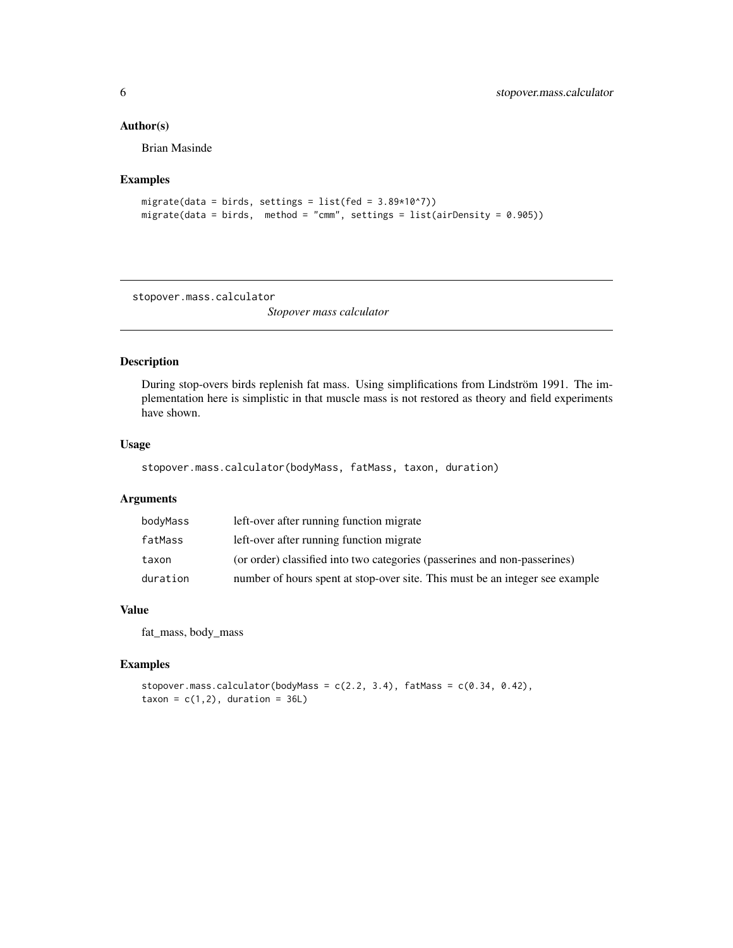#### <span id="page-5-0"></span>Author(s)

Brian Masinde

#### Examples

```
migrate(data = birds, settings = list(fed = 3.89*10*7))
migrate(data = birds, method = "cmm", settings = list(airDensity = 0.905))
```
stopover.mass.calculator

*Stopover mass calculator*

# Description

During stop-overs birds replenish fat mass. Using simplifications from Lindström 1991. The implementation here is simplistic in that muscle mass is not restored as theory and field experiments have shown.

#### Usage

stopover.mass.calculator(bodyMass, fatMass, taxon, duration)

#### Arguments

| bodyMass | left-over after running function migrate                                     |
|----------|------------------------------------------------------------------------------|
| fatMass  | left-over after running function migrate                                     |
| taxon    | (or order) classified into two categories (passerines and non-passerines)    |
| duration | number of hours spent at stop-over site. This must be an integer see example |

#### Value

fat\_mass, body\_mass

## Examples

stopover.mass.calculator(bodyMass =  $c(2.2, 3.4)$ , fatMass =  $c(0.34, 0.42)$ , taxon =  $c(1,2)$ , duration =  $36L$ )